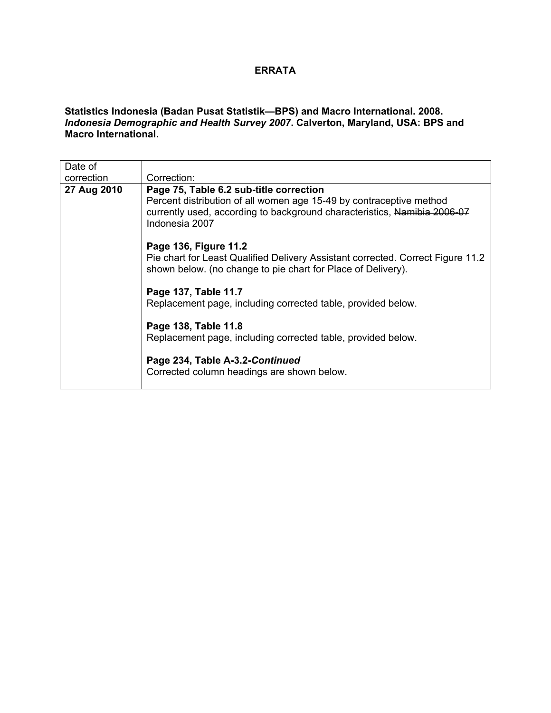## **ERRATA**

## **Statistics Indonesia (Badan Pusat Statistik—BPS) and Macro International. 2008.**  *Indonesia Demographic and Health Survey 2007***. Calverton, Maryland, USA: BPS and Macro International.**

| Date of<br>correction | Correction:                                                                                                                                                                                                  |
|-----------------------|--------------------------------------------------------------------------------------------------------------------------------------------------------------------------------------------------------------|
| 27 Aug 2010           | Page 75, Table 6.2 sub-title correction<br>Percent distribution of all women age 15-49 by contraceptive method<br>currently used, according to background characteristics, Namibia 2006-07<br>Indonesia 2007 |
|                       | Page 136, Figure 11.2<br>Pie chart for Least Qualified Delivery Assistant corrected. Correct Figure 11.2<br>shown below. (no change to pie chart for Place of Delivery).                                     |
|                       | Page 137, Table 11.7<br>Replacement page, including corrected table, provided below.                                                                                                                         |
|                       | Page 138, Table 11.8<br>Replacement page, including corrected table, provided below.                                                                                                                         |
|                       | Page 234, Table A-3.2-Continued<br>Corrected column headings are shown below.                                                                                                                                |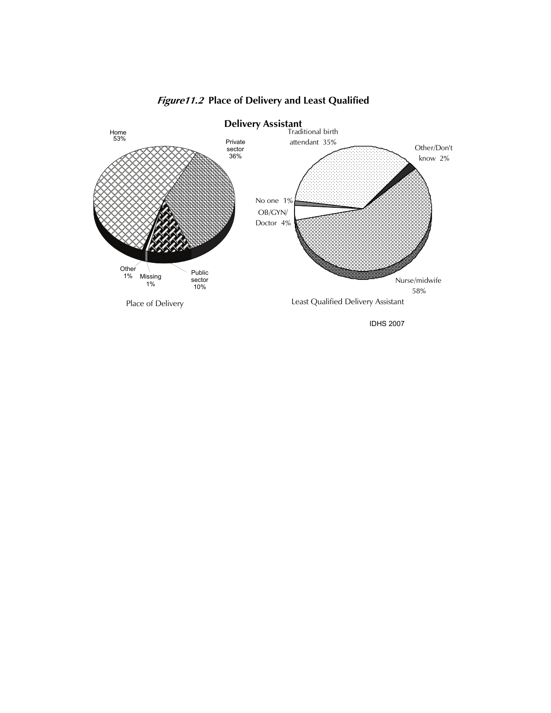

## **Figure11.2 Place of Delivery and Least Qualified**

IDHS 2007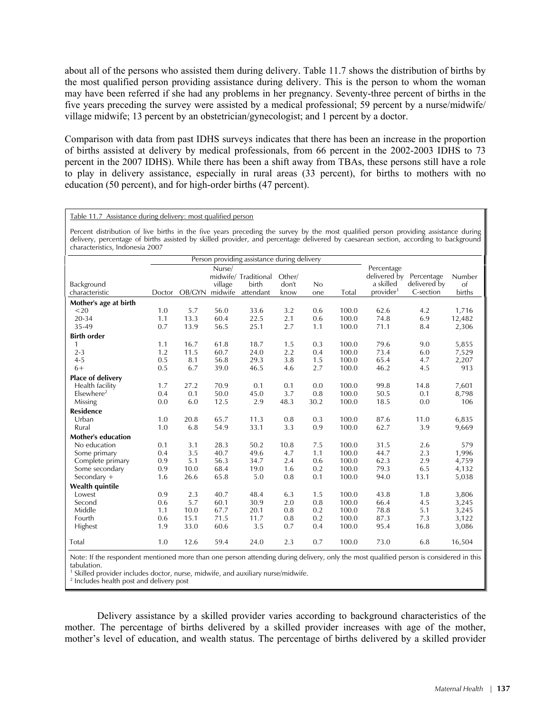about all of the persons who assisted them during delivery. Table 11.7 shows the distribution of births by the most qualified person providing assistance during delivery. This is the person to whom the woman may have been referred if she had any problems in her pregnancy. Seventy-three percent of births in the five years preceding the survey were assisted by a medical professional; 59 percent by a nurse/midwife/ village midwife; 13 percent by an obstetrician/gynecologist; and 1 percent by a doctor.

Comparison with data from past IDHS surveys indicates that there has been an increase in the proportion of births assisted at delivery by medical professionals, from 66 percent in the 2002-2003 IDHS to 73 percent in the 2007 IDHS). While there has been a shift away from TBAs, these persons still have a role to play in delivery assistance, especially in rural areas (33 percent), for births to mothers with no education (50 percent), and for high-order births (47 percent).

## Table 11.7 Assistance during delivery: most qualified person

Percent distribution of live births in the five years preceding the survey by the most qualified person providing assistance during delivery, percentage of births assisted by skilled provider, and percentage delivered by caesarean section, according to background characteristics, Indonesia 2007

|                           | Person providing assistance during delivery |        |         |                      |        |      |       |                         |              |        |
|---------------------------|---------------------------------------------|--------|---------|----------------------|--------|------|-------|-------------------------|--------------|--------|
|                           | Nurse/                                      |        |         |                      |        |      |       | Percentage              |              |        |
|                           |                                             |        |         | midwife/ Traditional | Other/ |      |       | delivered by Percentage |              | Number |
| Background                |                                             |        | village | birth                | don't  | No   |       | a skilled               | delivered by | of     |
| characteristic            | Doctor                                      | OB/GYN | midwife | attendant            | know   | one  | Total | provider <sup>1</sup>   | C-section    | births |
| Mother's age at birth     |                                             |        |         |                      |        |      |       |                         |              |        |
| $20$                      | 1.0                                         | 5.7    | 56.0    | 33.6                 | 3.2    | 0.6  | 100.0 | 62.6                    | 4.2          | 1,716  |
| 20-34                     | 1.1                                         | 13.3   | 60.4    | 22.5                 | 2.1    | 0.6  | 100.0 | 74.8                    | 6.9          | 12,482 |
| 35-49                     | 0.7                                         | 13.9   | 56.5    | 25.1                 | 2.7    | 1.1  | 100.0 | 71.1                    | 8.4          | 2,306  |
| <b>Birth order</b>        |                                             |        |         |                      |        |      |       |                         |              |        |
| $\mathbf{1}$              | 1.1                                         | 16.7   | 61.8    | 18.7                 | 1.5    | 0.3  | 100.0 | 79.6                    | 9.0          | 5,855  |
| $2 - 3$                   | 1.2                                         | 11.5   | 60.7    | 24.0                 | 2.2    | 0.4  | 100.0 | 73.4                    | 6.0          | 7,529  |
| $4 - 5$                   | 0.5                                         | 8.1    | 56.8    | 29.3                 | 3.8    | 1.5  | 100.0 | 65.4                    | 4.7          | 2,207  |
| $6+$                      | 0.5                                         | 6.7    | 39.0    | 46.5                 | 4.6    | 2.7  | 100.0 | 46.2                    | 4.5          | 913    |
| Place of delivery         |                                             |        |         |                      |        |      |       |                         |              |        |
| Health facility           | 1.7                                         | 27.2   | 70.9    | 0.1                  | 0.1    | 0.0  | 100.0 | 99.8                    | 14.8         | 7,601  |
| $E$ lsewhere <sup>2</sup> | 0.4                                         | 0.1    | 50.0    | 45.0                 | 3.7    | 0.8  | 100.0 | 50.5                    | 0.1          | 8,798  |
| Missing                   | 0.0                                         | 6.0    | 12.5    | 2.9                  | 48.3   | 30.2 | 100.0 | 18.5                    | 0.0          | 106    |
| <b>Residence</b>          |                                             |        |         |                      |        |      |       |                         |              |        |
| Urban                     | 1.0                                         | 20.8   | 65.7    | 11.3                 | 0.8    | 0.3  | 100.0 | 87.6                    | 11.0         | 6,835  |
| Rural                     | 1.0                                         | 6.8    | 54.9    | 33.1                 | 3.3    | 0.9  | 100.0 | 62.7                    | 3.9          | 9,669  |
| <b>Mother's education</b> |                                             |        |         |                      |        |      |       |                         |              |        |
| No education              | 0.1                                         | 3.1    | 28.3    | 50.2                 | 10.8   | 7.5  | 100.0 | 31.5                    | 2.6          | 579    |
| Some primary              | 0.4                                         | 3.5    | 40.7    | 49.6                 | 4.7    | 1.1  | 100.0 | 44.7                    | 2.3          | 1,996  |
| Complete primary          | 0.9                                         | 5.1    | 56.3    | 34.7                 | 2.4    | 0.6  | 100.0 | 62.3                    | 2.9          | 4,759  |
| Some secondary            | 0.9                                         | 10.0   | 68.4    | 19.0                 | 1.6    | 0.2  | 100.0 | 79.3                    | 6.5          | 4,132  |
| Secondary $+$             | 1.6                                         | 26.6   | 65.8    | 5.0                  | 0.8    | 0.1  | 100.0 | 94.0                    | 13.1         | 5,038  |
| <b>Wealth quintile</b>    |                                             |        |         |                      |        |      |       |                         |              |        |
| Lowest                    | 0.9                                         | 2.3    | 40.7    | 48.4                 | 6.3    | 1.5  | 100.0 | 43.8                    | 1.8          | 3,806  |
| Second                    | 0.6                                         | 5.7    | 60.1    | 30.9                 | 2.0    | 0.8  | 100.0 | 66.4                    | 4.5          | 3,245  |
| Middle                    | 1.1                                         | 10.0   | 67.7    | 20.1                 | 0.8    | 0.2  | 100.0 | 78.8                    | 5.1          | 3,245  |
| Fourth                    | 0.6                                         | 15.1   | 71.5    | 11.7                 | 0.8    | 0.2  | 100.0 | 87.3                    | 7.3          | 3,122  |
| Highest                   | 1.9                                         | 33.0   | 60.6    | 3.5                  | 0.7    | 0.4  | 100.0 | 95.4                    | 16.8         | 3,086  |
| Total                     | 1.0                                         | 12.6   | 59.4    | 24.0                 | 2.3    | 0.7  | 100.0 | 73.0                    | 6.8          | 16,504 |

Note: If the respondent mentioned more than one person attending during delivery, only the most qualified person is considered in this tabulation.

<sup>1</sup> Skilled provider includes doctor, nurse, midwife, and auxiliary nurse/midwife.<br><sup>2</sup> lackudes boalth post and dolivery post

<sup>2</sup> Includes health post and delivery post

Delivery assistance by a skilled provider varies according to background characteristics of the mother. The percentage of births delivered by a skilled provider increases with age of the mother, mother's level of education, and wealth status. The percentage of births delivered by a skilled provider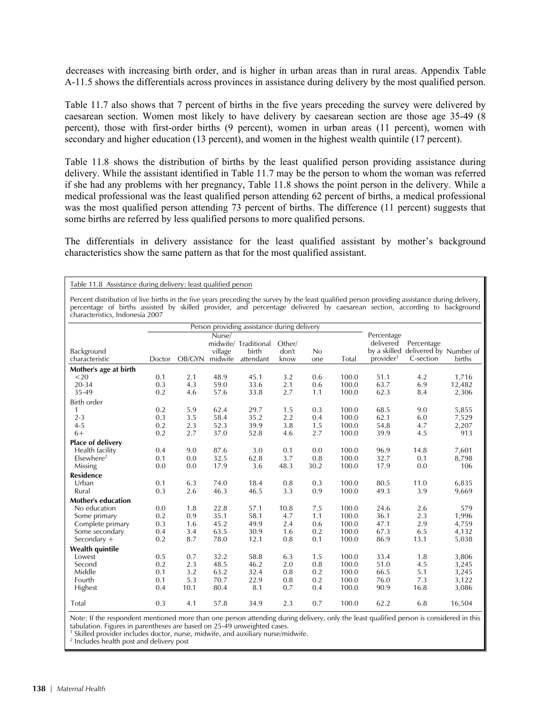decreases with increasing birth order, and is higher in urban areas than in rural areas. Appendix Table A-11.5 shows the differentials across provinces in assistance during delivery by the most qualified person.

Table 11.7 also shows that 7 percent of births in the five years preceding the survey were delivered by caesarean section. Women most likely to have delivery by caesarean section are those age 35-49 (8 percent), those with first-order births (9 percent), women in urban areas (11 percent), women with secondary and higher education (13 percent), and women in the highest wealth quintile (17 percent).

Table 11.8 shows the distribution of births by the least qualified person providing assistance during delivery. While the assistant identified in Table 11.7 may be the person to whom the woman was referred if she had any problems with her pregnancy, Table 11.8 shows the point person in the delivery. While a medical professional was the least qualified person attending 62 percent of births, a medical professional was the most qualified person attending 73 percent of births. The difference (11 percent) suggests that some births are referred by less qualified persons to more qualified persons.

The differentials in delivery assistance for the least qualified assistant by mother's background characteristics show the same pattern as that for the most qualified assistant.

Table 11.8 Assistance during delivery: least qualified person

Percent distribution of live births in the five years preceding the survey by the least qualified person providing assistance during delivery, percentage of births assisted by skilled provider, and percentage delivered by caesarean section, according to background characteristics, Indonesia 2007

|                           | Person providing assistance during delivery |        |         |                      |        |      |       |                       |                        |        |
|---------------------------|---------------------------------------------|--------|---------|----------------------|--------|------|-------|-----------------------|------------------------|--------|
|                           | Nurse/                                      |        |         |                      |        |      |       | Percentage            |                        |        |
|                           |                                             |        |         | midwife/ Traditional | Other/ |      |       | delivered             | Percentage             |        |
| Background                |                                             |        | village | birth                | don't  | No   |       | by a skilled          | delivered by Number of |        |
| characteristic            | Doctor                                      | OB/GYN | midwife | attendant            | know   | one  | Total | provider <sup>1</sup> | C-section              | births |
| Mother's age at birth     |                                             |        |         |                      |        |      |       |                       |                        |        |
| $20$                      | 0.1                                         | 2.1    | 48.9    | 45.1                 | 3.2    | 0.6  | 100.0 | 51.1                  | 4.2                    | 1,716  |
| 20-34                     | 0.3                                         | 4.3    | 59.0    | 33.6                 | 2.1    | 0.6  | 100.0 | 63.7                  | 6.9                    | 12,482 |
| 35-49                     | 0.2                                         | 4.6    | 57.6    | 33.8                 | 2.7    | 1.1  | 100.0 | 62.3                  | 8.4                    | 2,306  |
| Birth order               |                                             |        |         |                      |        |      |       |                       |                        |        |
| $\mathbf{1}$              | 0.2                                         | 5.9    | 62.4    | 29.7                 | 1.5    | 0.3  | 100.0 | 68.5                  | 9.0                    | 5,855  |
| $2 - 3$                   | 0.3                                         | 3.5    | 58.4    | 35.2                 | 2.2    | 0.4  | 100.0 | 62.1                  | 6.0                    | 7,529  |
| $4 - 5$                   | 0.2                                         | 2.3    | 52.3    | 39.9                 | 3.8    | 1.5  | 100.0 | 54.8                  | 4.7                    | 2,207  |
| $6+$                      | 0.2                                         | 2.7    | 37.0    | 52.8                 | 4.6    | 2.7  | 100.0 | 39.9                  | 4.5                    | 913    |
| <b>Place of delivery</b>  |                                             |        |         |                      |        |      |       |                       |                        |        |
| Health facility           | 0.4                                         | 9.0    | 87.6    | 3.0                  | 0.1    | 0.0  | 100.0 | 96.9                  | 14.8                   | 7,601  |
| $E$ lsewhere <sup>2</sup> | 0.1                                         | 0.0    | 32.5    | 62.8                 | 3.7    | 0.8  | 100.0 | 32.7                  | 0.1                    | 8,798  |
| Missing                   | 0.0                                         | 0.0    | 17.9    | 3.6                  | 48.3   | 30.2 | 100.0 | 17.9                  | 0.0                    | 106    |
| <b>Residence</b>          |                                             |        |         |                      |        |      |       |                       |                        |        |
| Urban                     | 0.1                                         | 6.3    | 74.0    | 18.4                 | 0.8    | 0.3  | 100.0 | 80.5                  | 11.0                   | 6,835  |
| Rural                     | 0.3                                         | 2.6    | 46.3    | 46.5                 | 3.3    | 0.9  | 100.0 | 49.3                  | 3.9                    | 9,669  |
| <b>Mother's education</b> |                                             |        |         |                      |        |      |       |                       |                        |        |
| No education              | 0.0                                         | 1.8    | 22.8    | 57.1                 | 10.8   | 7.5  | 100.0 | 24.6                  | 2.6                    | 579    |
| Some primary              | 0.2                                         | 0.9    | 35.1    | 58.1                 | 4.7    | 1.1  | 100.0 | 36.1                  | 2.3                    | 1,996  |
| Complete primary          | 0.3                                         | 1.6    | 45.2    | 49.9                 | 2.4    | 0.6  | 100.0 | 47.1                  | 2.9                    | 4,759  |
| Some secondary            | 0.4                                         | 3.4    | 63.5    | 30.9                 | 1.6    | 0.2  | 100.0 | 67.3                  | 6.5                    | 4,132  |
| Secondary +               | 0.2                                         | 8.7    | 78.0    | 12.1                 | 0.8    | 0.1  | 100.0 | 86.9                  | 13.1                   | 5,038  |
| <b>Wealth quintile</b>    |                                             |        |         |                      |        |      |       |                       |                        |        |
| Lowest                    | 0.5                                         | 0.7    | 32.2    | 58.8                 | 6.3    | 1.5  | 100.0 | 33.4                  | 1.8                    | 3,806  |
| Second                    | 0.2                                         | 2.3    | 48.5    | 46.2                 | 2.0    | 0.8  | 100.0 | 51.0                  | 4.5                    | 3,245  |
| Middle                    | 0.1                                         | 3.2    | 63.2    | 32.4                 | 0.8    | 0.2  | 100.0 | 66.5                  | 5.1                    | 3,245  |
| Fourth                    | 0.1                                         | 5.3    | 70.7    | 22.9                 | 0.8    | 0.2  | 100.0 | 76.0                  | 7.3                    | 3,122  |
| Highest                   | 0.4                                         | 10.1   | 80.4    | 8.1                  | 0.7    | 0.4  | 100.0 | 90.9                  | 16.8                   | 3,086  |
| Total                     | 0.3                                         | 4.1    | 57.8    | 34.9                 | 2.3    | 0.7  | 100.0 | 62.2                  | 6.8                    | 16,504 |

Note: If the respondent mentioned more than one person attending during delivery, only the least qualified person is considered in this tabulation. Figures in parentheses are based on 25-49 unweighted cases.

 $^1$  Skilled provider includes doctor, nurse, midwife, and auxiliary nurse/midwife.

<sup>2</sup> Includes health post and delivery post